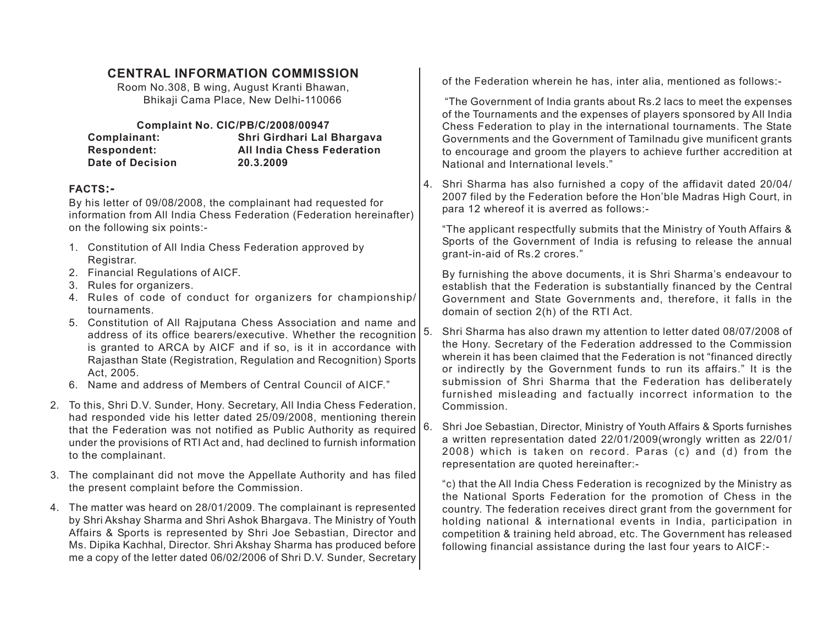# **CENTRAL INFORMATION COMMISSION**

Room No.308, B wing, August Kranti Bhawan, Bhikaji Cama Place, New Delhi-110066

## **Complaint No. CIC/PB/C/2008/00947**

| Complainant:       | Shri Girdhari Lal Bhargava        |
|--------------------|-----------------------------------|
| <b>Respondent:</b> | <b>All India Chess Federation</b> |
| Date of Decision   | 20.3.2009                         |

### **FACTS:-**

By his letter of 09/08/2008, the complainant had requested for information from All India Chess Federation (Federation hereinafter) on the following six points:-

- 1. Constitution of All India Chess Federation approved by Registrar.
- 2. Financial Regulations of AICF.
- 3. Rules for organizers.
- 4. Rules of code of conduct for organizers for championship/ tournaments.
- 5. Constitution of All Rajputana Chess Association and name and address of its office bearers/executive. Whether the recognition is granted to ARCA by AICF and if so, is it in accordance with Rajasthan State (Registration, Regulation and Recognition) Sports Act, 2005.
- 6. Name and address of Members of Central Council of AICF."
- 2. To this, Shri D.V. Sunder, Hony. Secretary, All India Chess Federation, had responded vide his letter dated 25/09/2008, mentioning therein that the Federation was not notified as Public Authority as required under the provisions of RTI Act and, had declined to furnish information to the complainant.
- 3. The complainant did not move the Appellate Authority and has filed the present complaint before the Commission.
- 4. The matter was heard on 28/01/2009. The complainant is represented by Shri Akshay Sharma and Shri Ashok Bhargava. The Ministry of Youth Affairs & Sports is represented by Shri Joe Sebastian, Director and Ms. Dipika Kachhal, Director. Shri Akshay Sharma has produced before me a copy of the letter dated 06/02/2006 of Shri D.V. Sunder, Secretary

of the Federation wherein he has, inter alia, mentioned as follows:-

 "The Government of India grants about Rs.2 lacs to meet the expenses of the Tournaments and the expenses of players sponsored by All India Chess Federation to play in the international tournaments. The State Governments and the Government of Tamilnadu give munificent grants to encourage and groom the players to achieve further accredition at National and International levels."

4. Shri Sharma has also furnished a copy of the affidavit dated 20/04/ 2007 filed by the Federation before the Hon'ble Madras High Court, in para 12 whereof it is averred as follows:-

"The applicant respectfully submits that the Ministry of Youth Affairs & Sports of the Government of India is refusing to release the annual grant-in-aid of Rs.2 crores."

By furnishing the above documents, it is Shri Sharma's endeavour to establish that the Federation is substantially financed by the Central Government and State Governments and, therefore, it falls in the domain of section 2(h) of the RTI Act.

- 5. Shri Sharma has also drawn my attention to letter dated 08/07/2008 of the Hony. Secretary of the Federation addressed to the Commission wherein it has been claimed that the Federation is not "financed directly or indirectly by the Government funds to run its affairs." It is the submission of Shri Sharma that the Federation has deliberately furnished misleading and factually incorrect information to the Commission.
- 6. Shri Joe Sebastian, Director, Ministry of Youth Affairs & Sports furnishes a written representation dated 22/01/2009(wrongly written as 22/01/ 2008) which is taken on record. Paras (c) and (d) from the representation are quoted hereinafter:-

"c) that the All India Chess Federation is recognized by the Ministry as the National Sports Federation for the promotion of Chess in the country. The federation receives direct grant from the government for holding national & international events in India, participation in competition & training held abroad, etc. The Government has released following financial assistance during the last four years to AICF:-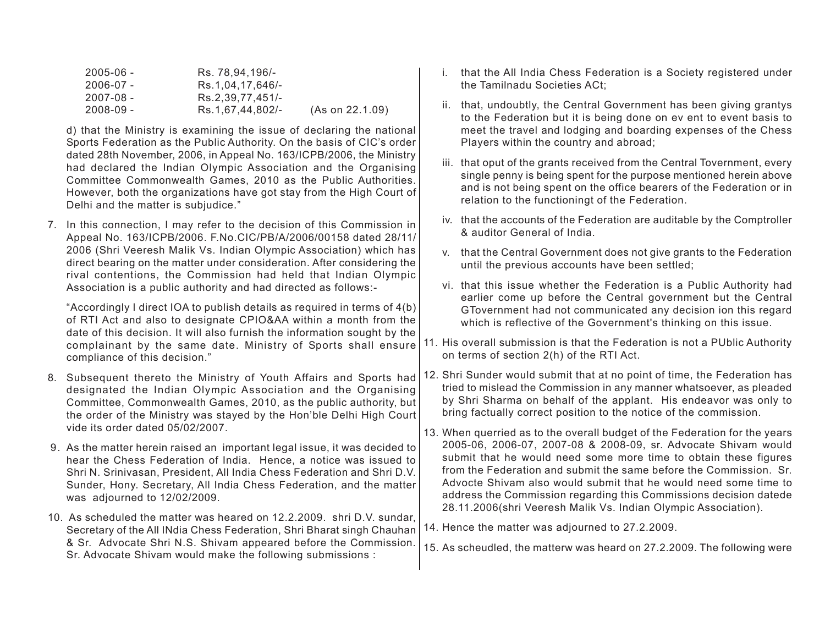| $2005 - 06 -$ | Rs. 78.94.196/-  |                 |
|---------------|------------------|-----------------|
| $2006 - 07 -$ | Rs.1.04.17.646/- |                 |
| $2007 - 08 -$ | Rs.2,39,77,451/- |                 |
| $2008 - 09 -$ | Rs.1.67.44.802/- | (As on 22.1.09) |

d) that the Ministry is examining the issue of declaring the national Sports Federation as the Public Authority. On the basis of CIC's order dated 28th November, 2006, in Appeal No. 163/ICPB/2006, the Ministry had declared the Indian Olympic Association and the Organising Committee Commonwealth Games, 2010 as the Public Authorities. However, both the organizations have got stay from the High Court of Delhi and the matter is subjudice."

7. In this connection, I may refer to the decision of this Commission in Appeal No. 163/ICPB/2006. F.No.CIC/PB/A/2006/00158 dated 28/11/ 2006 (Shri Veeresh Malik Vs. Indian Olympic Association) which has direct bearing on the matter under consideration. After considering the rival contentions, the Commission had held that Indian Olympic Association is a public authority and had directed as follows:-

"Accordingly I direct IOA to publish details as required in terms of 4(b) of RTI Act and also to designate CPIO&AA within a month from the date of this decision. It will also furnish the information sought by the complainant by the same date. Ministry of Sports shall ensure compliance of this decision."

- 8. Subsequent thereto the Ministry of Youth Affairs and Sports had designated the Indian Olympic Association and the Organising Committee, Commonwealth Games, 2010, as the public authority, but the order of the Ministry was stayed by the Hon'ble Delhi High Court vide its order dated 05/02/2007.
- 9. As the matter herein raised an important legal issue, it was decided to hear the Chess Federation of India. Hence, a notice was issued to Shri N. Srinivasan, President, All India Chess Federation and Shri D.V. Sunder, Hony. Secretary, All India Chess Federation, and the matter was adjourned to 12/02/2009.
- 10. As scheduled the matter was heared on 12.2.2009. shri D.V. sundar, Secretary of the All INdia Chess Federation, Shri Bharat singh Chauhan & Sr. Advocate Shri N.S. Shivam appeared before the Commission. Sr. Advocate Shivam would make the following submissions :
- i. that the All India Chess Federation is a Society registered under the Tamilnadu Societies ACt;
- ii. that, undoubtly, the Central Government has been giving grantys to the Federation but it is being done on ev ent to event basis to meet the travel and lodging and boarding expenses of the Chess Players within the country and abroad;
- iii. that oput of the grants received from the Central Tovernment, every single penny is being spent for the purpose mentioned herein above and is not being spent on the office bearers of the Federation or in relation to the functioningt of the Federation.
- iv. that the accounts of the Federation are auditable by the Comptroller & auditor General of India.
- v. that the Central Government does not give grants to the Federation until the previous accounts have been settled;
- vi. that this issue whether the Federation is a Public Authority had earlier come up before the Central government but the Central GTovernment had not communicated any decision ion this regard which is reflective of the Government's thinking on this issue.
- 11. His overall submission is that the Federation is not a PUblic Authority on terms of section 2(h) of the RTI Act.
- 12. Shri Sunder would submit that at no point of time, the Federation has tried to mislead the Commission in any manner whatsoever, as pleaded by Shri Sharma on behalf of the applant. His endeavor was only to bring factually correct position to the notice of the commission.
- 13. When querried as to the overall budget of the Federation for the years 2005-06, 2006-07, 2007-08 & 2008-09, sr. Advocate Shivam would submit that he would need some more time to obtain these figures from the Federation and submit the same before the Commission. Sr. Advocte Shivam also would submit that he would need some time to address the Commission regarding this Commissions decision datede 28.11.2006(shri Veeresh Malik Vs. Indian Olympic Association).
- 14. Hence the matter was adjourned to 27.2.2009.
- 15. As scheudled, the matterw was heard on 27.2.2009. The following were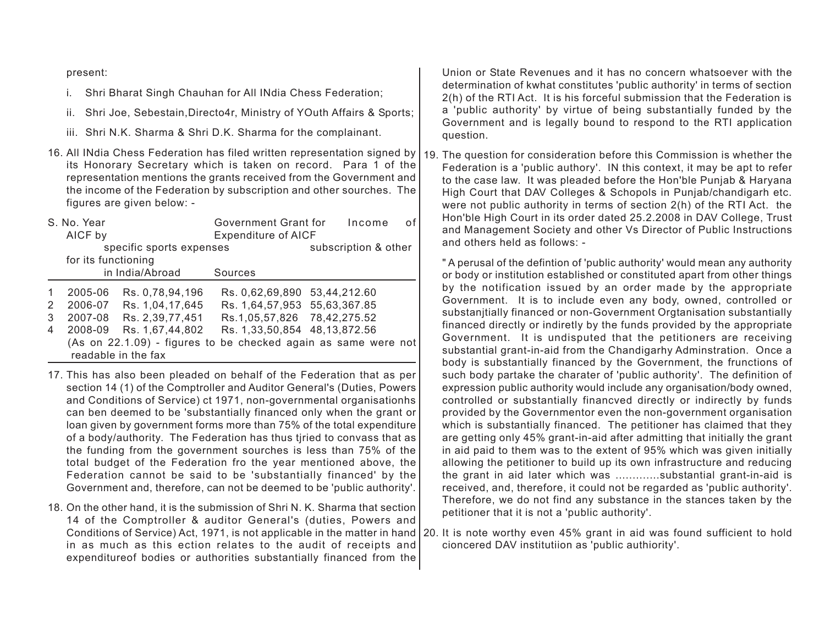#### present:

- i. Shri Bharat Singh Chauhan for All INdia Chess Federation;
- ii. Shri Joe, Sebestain,Directo4r, Ministry of YOuth Affairs & Sports;
- iii. Shri N.K. Sharma & Shri D.K. Sharma for the complainant.
- 16. All INdia Chess Federation has filed written representation signed by its Honorary Secretary which is taken on record. Para 1 of the representation mentions the grants received from the Government and the income of the Federation by subscription and other sourches. The figures are given below: -

| S. No. Year<br>AICF by<br>specific sports expenses |                     | Government Grant for       | Income<br>of                 |                                                                |
|----------------------------------------------------|---------------------|----------------------------|------------------------------|----------------------------------------------------------------|
|                                                    |                     | <b>Expenditure of AICF</b> |                              |                                                                |
|                                                    |                     |                            | subscription & other         |                                                                |
|                                                    | for its functioning |                            |                              |                                                                |
|                                                    |                     | in India/Abroad            | Sources                      |                                                                |
| -1                                                 | 2005-06             | Rs. 0,78,94,196            | Rs. 0,62,69,890              | 53,44,212.60                                                   |
| 2                                                  | 2006-07             | Rs. 1,04,17,645            | Rs. 1,64,57,953 55,63,367.85 |                                                                |
| 3                                                  | 2007-08             | Rs. 2,39,77,451            | Rs.1,05,57,826 78,42,275.52  |                                                                |
| 4                                                  | 2008-09             | Rs. 1,67,44,802            | Rs. 1,33,50,854 48,13,872.56 |                                                                |
|                                                    |                     | readable in the fax        |                              | (As on 22.1.09) - figures to be checked again as same were not |

- 17. This has also been pleaded on behalf of the Federation that as per section 14 (1) of the Comptroller and Auditor General's (Duties, Powers and Conditions of Service) ct 1971, non-governmental organisationhs can ben deemed to be 'substantially financed only when the grant or loan given by government forms more than 75% of the total expenditure of a body/authority. The Federation has thus tjried to convass that as the funding from the government sourches is less than 75% of the total budget of the Federation fro the year mentioned above, the Federation cannot be said to be 'substantially financed' by the Government and, therefore, can not be deemed to be 'public authority'.
- 18. On the other hand, it is the submission of Shri N. K. Sharma that section 14 of the Comptroller & auditor General's (duties, Powers and in as much as this ection relates to the audit of receipts and expenditureof bodies or authorities substantially financed from the

Union or State Revenues and it has no concern whatsoever with the determination of kwhat constitutes 'public authority' in terms of section 2(h) of the RTI Act. It is his forceful submission that the Federation is <sup>a</sup>'public authority' by virtue of being substantially funded by the Government and is legally bound to respond to the RTI application question.

19. The question for consideration before this Commission is whether the Federation is a 'public authory'. IN this context, it may be apt to refer to the case law. It was pleaded before the Hon'ble Punjab & Haryana High Court that DAV Colleges & Schopols in Punjab/chandigarh etc. were not public authority in terms of section 2(h) of the RTI Act. the Hon'ble High Court in its order dated 25.2.2008 in DAV College, Trust and Management Society and other Vs Director of Public Instructions and others held as follows: -

" A perusal of the defintion of 'public authority' would mean any authority or body or institution established or constituted apart from other things by the notification issued by an order made by the appropriate Government. It is to include even any body, owned, controlled or substanjtially financed or non-Government Orgtanisation substantially financed directly or indiretly by the funds provided by the appropriate Government. It is undisputed that the petitioners are receiving substantial grant-in-aid from the Chandigarhy Adminstration. Once a body is substantially financed by the Government, the frunctions of such body partake the charater of 'public authority'. The definition of expression public authority would include any organisation/body owned, controlled or substantially financved directly or indirectly by funds provided by the Governmentor even the non-government organisation which is substantially financed. The petitioner has claimed that they are getting only 45% grant-in-aid after admitting that initially the grant in aid paid to them was to the extent of 95% which was given initially allowing the petitioner to build up its own infrastructure and reducing the grant in aid later which was .............substantial grant-in-aid is received, and, therefore, it could not be regarded as 'public authority'. Therefore, we do not find any substance in the stances taken by the petitioner that it is not a 'public authority'.

Conditions of Service) Act, 1971, is not applicable in the matter in hand 20. It is note worthy even 45% grant in aid was found sufficient to hold cioncered DAV institutiion as 'public authiority'.